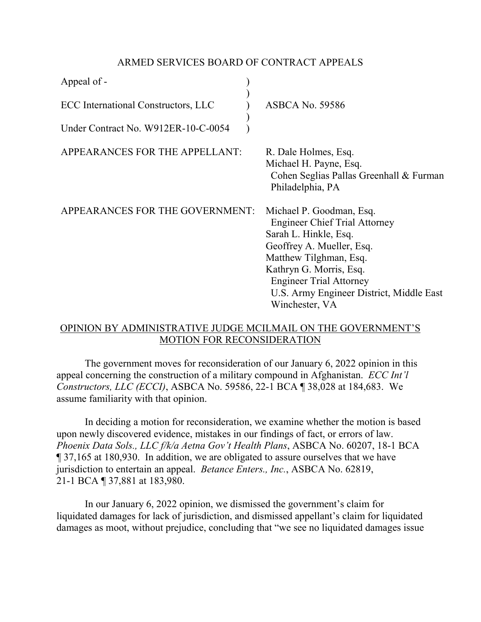## ARMED SERVICES BOARD OF CONTRACT APPEALS

| Appeal of -                         |                                                                                                                                                                                                                                                                             |
|-------------------------------------|-----------------------------------------------------------------------------------------------------------------------------------------------------------------------------------------------------------------------------------------------------------------------------|
| ECC International Constructors, LLC | <b>ASBCA No. 59586</b>                                                                                                                                                                                                                                                      |
| Under Contract No. W912ER-10-C-0054 |                                                                                                                                                                                                                                                                             |
| APPEARANCES FOR THE APPELLANT:      | R. Dale Holmes, Esq.<br>Michael H. Payne, Esq.<br>Cohen Seglias Pallas Greenhall & Furman<br>Philadelphia, PA                                                                                                                                                               |
| APPEARANCES FOR THE GOVERNMENT:     | Michael P. Goodman, Esq.<br><b>Engineer Chief Trial Attorney</b><br>Sarah L. Hinkle, Esq.<br>Geoffrey A. Mueller, Esq.<br>Matthew Tilghman, Esq.<br>Kathryn G. Morris, Esq.<br><b>Engineer Trial Attorney</b><br>U.S. Army Engineer District, Middle East<br>Winchester, VA |

## OPINION BY ADMINISTRATIVE JUDGE MCILMAIL ON THE GOVERNMENT'S MOTION FOR RECONSIDERATION

 The government moves for reconsideration of our January 6, 2022 opinion in this appeal concerning the construction of a military compound in Afghanistan. *ECC Int'l Constructors, LLC (ECCI)*, ASBCA No. 59586, 22-1 BCA ¶ 38,028 at 184,683. We assume familiarity with that opinion.

 In deciding a motion for reconsideration, we examine whether the motion is based upon newly discovered evidence, mistakes in our findings of fact, or errors of law. *Phoenix Data Sols., LLC f/k/a Aetna Gov't Health Plans*, ASBCA No. 60207, 18-1 BCA ¶ 37,165 at 180,930. In addition, we are obligated to assure ourselves that we have jurisdiction to entertain an appeal. *Betance Enters., Inc.*, ASBCA No. 62819, 21-1 BCA ¶ 37,881 at 183,980.

 In our January 6, 2022 opinion, we dismissed the government's claim for liquidated damages for lack of jurisdiction, and dismissed appellant's claim for liquidated damages as moot, without prejudice, concluding that "we see no liquidated damages issue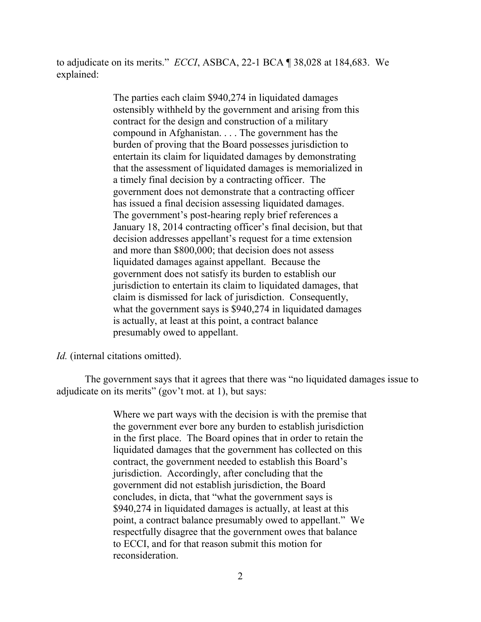to adjudicate on its merits." *ECCI*, ASBCA, 22-1 BCA ¶ 38,028 at 184,683. We explained:

> The parties each claim \$940,274 in liquidated damages ostensibly withheld by the government and arising from this contract for the design and construction of a military compound in Afghanistan. . . . The government has the burden of proving that the Board possesses jurisdiction to entertain its claim for liquidated damages by demonstrating that the assessment of liquidated damages is memorialized in a timely final decision by a contracting officer. The government does not demonstrate that a contracting officer has issued a final decision assessing liquidated damages. The government's post-hearing reply brief references a January 18, 2014 contracting officer's final decision, but that decision addresses appellant's request for a time extension and more than \$800,000; that decision does not assess liquidated damages against appellant. Because the government does not satisfy its burden to establish our jurisdiction to entertain its claim to liquidated damages, that claim is dismissed for lack of jurisdiction. Consequently, what the government says is \$940,274 in liquidated damages is actually, at least at this point, a contract balance presumably owed to appellant.

*Id.* (internal citations omitted).

The government says that it agrees that there was "no liquidated damages issue to adjudicate on its merits" (gov't mot. at 1), but says:

> Where we part ways with the decision is with the premise that the government ever bore any burden to establish jurisdiction in the first place. The Board opines that in order to retain the liquidated damages that the government has collected on this contract, the government needed to establish this Board's jurisdiction. Accordingly, after concluding that the government did not establish jurisdiction, the Board concludes, in dicta, that "what the government says is \$940,274 in liquidated damages is actually, at least at this point, a contract balance presumably owed to appellant." We respectfully disagree that the government owes that balance to ECCI, and for that reason submit this motion for reconsideration.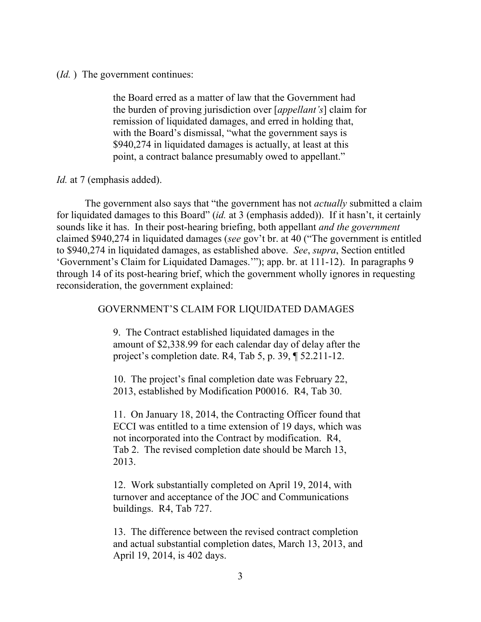(*Id.* ) The government continues:

the Board erred as a matter of law that the Government had the burden of proving jurisdiction over [*appellant's*] claim for remission of liquidated damages, and erred in holding that, with the Board's dismissal, "what the government says is \$940,274 in liquidated damages is actually, at least at this point, a contract balance presumably owed to appellant."

*Id.* at 7 (emphasis added).

The government also says that "the government has not *actually* submitted a claim for liquidated damages to this Board" (*id.* at 3 (emphasis added)). If it hasn't, it certainly sounds like it has. In their post-hearing briefing, both appellant *and the government* claimed \$940,274 in liquidated damages (*see* gov't br. at 40 ("The government is entitled to \$940,274 in liquidated damages, as established above. *See*, *supra*, Section entitled 'Government's Claim for Liquidated Damages.'"); app. br. at 111-12). In paragraphs 9 through 14 of its post-hearing brief, which the government wholly ignores in requesting reconsideration, the government explained:

## GOVERNMENT'S CLAIM FOR LIQUIDATED DAMAGES

9. The Contract established liquidated damages in the amount of \$2,338.99 for each calendar day of delay after the project's completion date. R4, Tab 5, p. 39, ¶ 52.211-12.

10. The project's final completion date was February 22, 2013, established by Modification P00016. R4, Tab 30.

11. On January 18, 2014, the Contracting Officer found that ECCI was entitled to a time extension of 19 days, which was not incorporated into the Contract by modification. R4, Tab 2. The revised completion date should be March 13, 2013.

12. Work substantially completed on April 19, 2014, with turnover and acceptance of the JOC and Communications buildings. R4, Tab 727.

13. The difference between the revised contract completion and actual substantial completion dates, March 13, 2013, and April 19, 2014, is 402 days.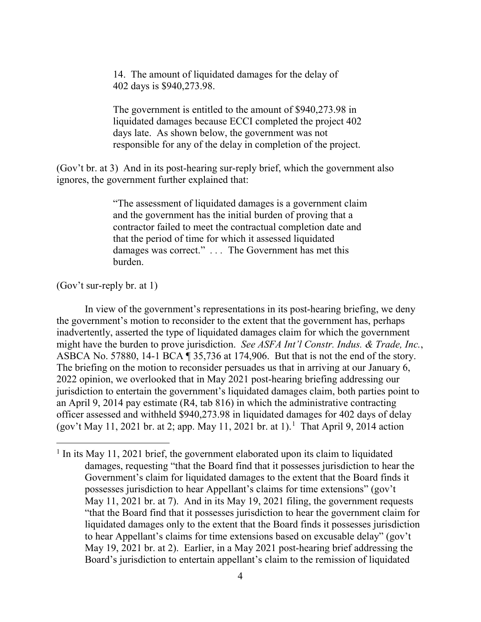14. The amount of liquidated damages for the delay of 402 days is \$940,273.98.

The government is entitled to the amount of \$940,273.98 in liquidated damages because ECCI completed the project 402 days late. As shown below, the government was not responsible for any of the delay in completion of the project.

(Gov't br. at 3) And in its post-hearing sur-reply brief, which the government also ignores, the government further explained that:

> "The assessment of liquidated damages is a government claim and the government has the initial burden of proving that a contractor failed to meet the contractual completion date and that the period of time for which it assessed liquidated damages was correct." *. . .* The Government has met this burden.

(Gov't sur-reply br. at 1)

In view of the government's representations in its post-hearing briefing, we deny the government's motion to reconsider to the extent that the government has, perhaps inadvertently, asserted the type of liquidated damages claim for which the government might have the burden to prove jurisdiction. *See ASFA Int'l Constr. Indus. & Trade, Inc.*, ASBCA No. 57880, 14-1 BCA ¶ 35,736 at 174,906. But that is not the end of the story. The briefing on the motion to reconsider persuades us that in arriving at our January 6, 2022 opinion, we overlooked that in May 2021 post-hearing briefing addressing our jurisdiction to entertain the government's liquidated damages claim, both parties point to an April 9, 2014 pay estimate (R4, tab 816) in which the administrative contracting officer assessed and withheld \$940,273.98 in liquidated damages for 402 days of delay (gov't May [1](#page-3-0)1, 2021 br. at 2; app. May 11, 2021 br. at 1).<sup>1</sup> That April 9, 2014 action

<span id="page-3-0"></span><sup>&</sup>lt;sup>1</sup> In its May 11, 2021 brief, the government elaborated upon its claim to liquidated damages, requesting "that the Board find that it possesses jurisdiction to hear the Government's claim for liquidated damages to the extent that the Board finds it possesses jurisdiction to hear Appellant's claims for time extensions" (gov't May 11, 2021 br. at 7). And in its May 19, 2021 filing, the government requests "that the Board find that it possesses jurisdiction to hear the government claim for liquidated damages only to the extent that the Board finds it possesses jurisdiction to hear Appellant's claims for time extensions based on excusable delay" (gov't May 19, 2021 br. at 2). Earlier, in a May 2021 post-hearing brief addressing the Board's jurisdiction to entertain appellant's claim to the remission of liquidated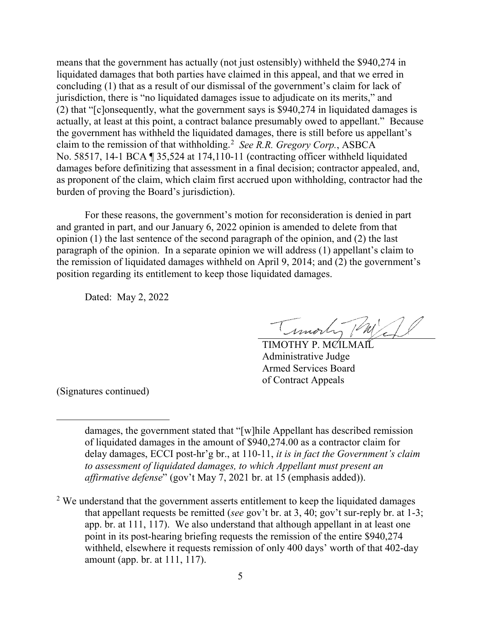means that the government has actually (not just ostensibly) withheld the \$940,274 in liquidated damages that both parties have claimed in this appeal, and that we erred in concluding (1) that as a result of our dismissal of the government's claim for lack of jurisdiction, there is "no liquidated damages issue to adjudicate on its merits," and (2) that "[c]onsequently, what the government says is \$940,274 in liquidated damages is actually, at least at this point, a contract balance presumably owed to appellant." Because the government has withheld the liquidated damages, there is still before us appellant's claim to the remission of that withholding. [2](#page-4-0) *See R.R. Gregory Corp.*, ASBCA No. 58517, 14-1 BCA ¶ 35,524 at 174,110-11 (contracting officer withheld liquidated damages before definitizing that assessment in a final decision; contractor appealed, and, as proponent of the claim, which claim first accrued upon withholding, contractor had the burden of proving the Board's jurisdiction).

For these reasons, the government's motion for reconsideration is denied in part and granted in part, and our January 6, 2022 opinion is amended to delete from that opinion (1) the last sentence of the second paragraph of the opinion, and (2) the last paragraph of the opinion. In a separate opinion we will address (1) appellant's claim to the remission of liquidated damages withheld on April 9, 2014; and (2) the government's position regarding its entitlement to keep those liquidated damages.

Dated: May 2, 2022

Timorhy (M)

TIMOTHY P. MCILMAI Administrative Judge Armed Services Board of Contract Appeals

(Signatures continued)

 $\overline{a}$ 

damages, the government stated that "[w]hile Appellant has described remission of liquidated damages in the amount of \$940,274.00 as a contractor claim for delay damages, ECCI post-hr'g br., at 110-11, *it is in fact the Government's claim to assessment of liquidated damages, to which Appellant must present an affirmative defense*" (gov't May 7, 2021 br. at 15 (emphasis added)).

<span id="page-4-0"></span> $2$  We understand that the government asserts entitlement to keep the liquidated damages that appellant requests be remitted (*see* gov't br. at 3, 40; gov't sur-reply br. at 1-3; app. br. at 111, 117). We also understand that although appellant in at least one point in its post-hearing briefing requests the remission of the entire \$940,274 withheld, elsewhere it requests remission of only 400 days' worth of that 402-day amount (app. br. at 111, 117).